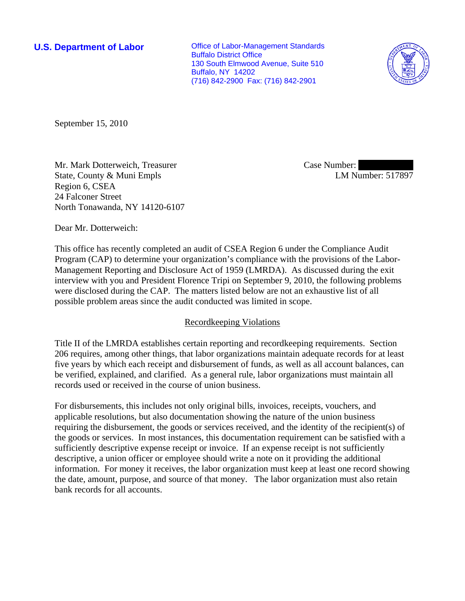**U.S. Department of Labor Conservative Conservative Conservative Conservative Conservative Conservative Conservative Conservative Conservative Conservative Conservative Conservative Conservative Conservative Conservative** Buffalo District Office 130 South Elmwood Avenue, Suite 510 Buffalo, NY 14202 (716) 842-2900 Fax: (716) 842-2901



September 15, 2010

Mr. Mark Dotterweich, Treasurer State, County & Muni Empls Region 6, CSEA 24 Falconer Street North Tonawanda, NY 14120-6107 Case Number: LM Number: 517897

Dear Mr. Dotterweich:

This office has recently completed an audit of CSEA Region 6 under the Compliance Audit Program (CAP) to determine your organization's compliance with the provisions of the Labor-Management Reporting and Disclosure Act of 1959 (LMRDA). As discussed during the exit interview with you and President Florence Tripi on September 9, 2010, the following problems were disclosed during the CAP. The matters listed below are not an exhaustive list of all possible problem areas since the audit conducted was limited in scope.

## Recordkeeping Violations

Title II of the LMRDA establishes certain reporting and recordkeeping requirements. Section 206 requires, among other things, that labor organizations maintain adequate records for at least five years by which each receipt and disbursement of funds, as well as all account balances, can be verified, explained, and clarified. As a general rule, labor organizations must maintain all records used or received in the course of union business.

For disbursements, this includes not only original bills, invoices, receipts, vouchers, and applicable resolutions, but also documentation showing the nature of the union business requiring the disbursement, the goods or services received, and the identity of the recipient(s) of the goods or services. In most instances, this documentation requirement can be satisfied with a sufficiently descriptive expense receipt or invoice. If an expense receipt is not sufficiently descriptive, a union officer or employee should write a note on it providing the additional information. For money it receives, the labor organization must keep at least one record showing the date, amount, purpose, and source of that money. The labor organization must also retain bank records for all accounts.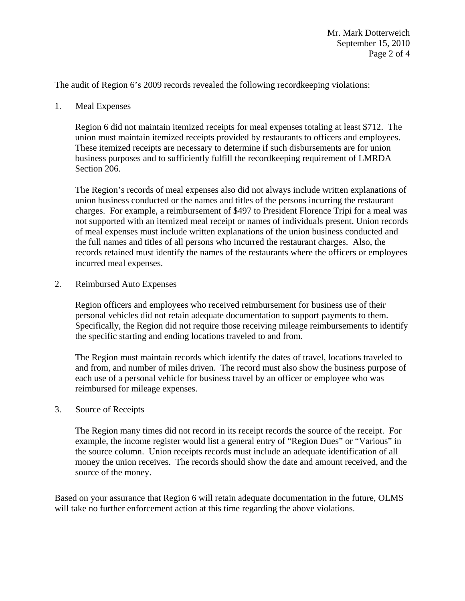The audit of Region 6's 2009 records revealed the following recordkeeping violations:

1. Meal Expenses

Region 6 did not maintain itemized receipts for meal expenses totaling at least \$712. The union must maintain itemized receipts provided by restaurants to officers and employees. These itemized receipts are necessary to determine if such disbursements are for union business purposes and to sufficiently fulfill the recordkeeping requirement of LMRDA Section 206.

The Region's records of meal expenses also did not always include written explanations of union business conducted or the names and titles of the persons incurring the restaurant charges. For example, a reimbursement of \$497 to President Florence Tripi for a meal was not supported with an itemized meal receipt or names of individuals present. Union records of meal expenses must include written explanations of the union business conducted and the full names and titles of all persons who incurred the restaurant charges. Also, the records retained must identify the names of the restaurants where the officers or employees incurred meal expenses.

2. Reimbursed Auto Expenses

Region officers and employees who received reimbursement for business use of their personal vehicles did not retain adequate documentation to support payments to them. Specifically, the Region did not require those receiving mileage reimbursements to identify the specific starting and ending locations traveled to and from.

The Region must maintain records which identify the dates of travel, locations traveled to and from, and number of miles driven. The record must also show the business purpose of each use of a personal vehicle for business travel by an officer or employee who was reimbursed for mileage expenses.

3. Source of Receipts

The Region many times did not record in its receipt records the source of the receipt. For example, the income register would list a general entry of "Region Dues" or "Various" in the source column. Union receipts records must include an adequate identification of all money the union receives. The records should show the date and amount received, and the source of the money.

Based on your assurance that Region 6 will retain adequate documentation in the future, OLMS will take no further enforcement action at this time regarding the above violations.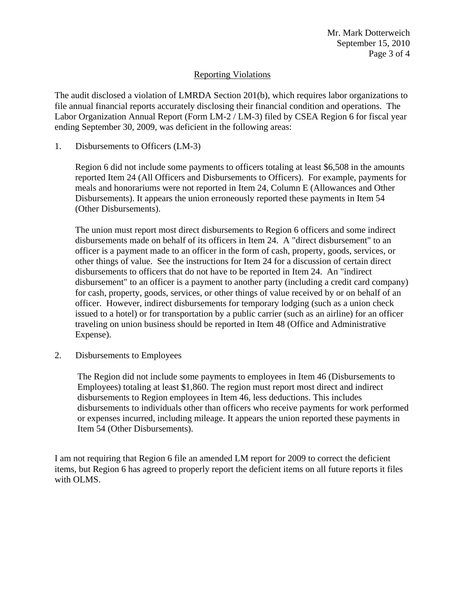Mr. Mark Dotterweich September 15, 2010 Page 3 of 4

## Reporting Violations

The audit disclosed a violation of LMRDA Section 201(b), which requires labor organizations to file annual financial reports accurately disclosing their financial condition and operations. The Labor Organization Annual Report (Form LM-2 / LM-3) filed by CSEA Region 6 for fiscal year ending September 30, 2009, was deficient in the following areas:

1. Disbursements to Officers (LM-3)

Region 6 did not include some payments to officers totaling at least \$6,508 in the amounts reported Item 24 (All Officers and Disbursements to Officers). For example, payments for meals and honorariums were not reported in Item 24, Column E (Allowances and Other Disbursements). It appears the union erroneously reported these payments in Item 54 (Other Disbursements).

The union must report most direct disbursements to Region 6 officers and some indirect disbursements made on behalf of its officers in Item 24. A "direct disbursement" to an officer is a payment made to an officer in the form of cash, property, goods, services, or other things of value. See the instructions for Item 24 for a discussion of certain direct disbursements to officers that do not have to be reported in Item 24. An "indirect disbursement" to an officer is a payment to another party (including a credit card company) for cash, property, goods, services, or other things of value received by or on behalf of an officer. However, indirect disbursements for temporary lodging (such as a union check issued to a hotel) or for transportation by a public carrier (such as an airline) for an officer traveling on union business should be reported in Item 48 (Office and Administrative Expense).

2. Disbursements to Employees

The Region did not include some payments to employees in Item 46 (Disbursements to Employees) totaling at least \$1,860. The region must report most direct and indirect disbursements to Region employees in Item 46, less deductions. This includes disbursements to individuals other than officers who receive payments for work performed or expenses incurred, including mileage. It appears the union reported these payments in Item 54 (Other Disbursements).

I am not requiring that Region 6 file an amended LM report for 2009 to correct the deficient items, but Region 6 has agreed to properly report the deficient items on all future reports it files with OLMS.